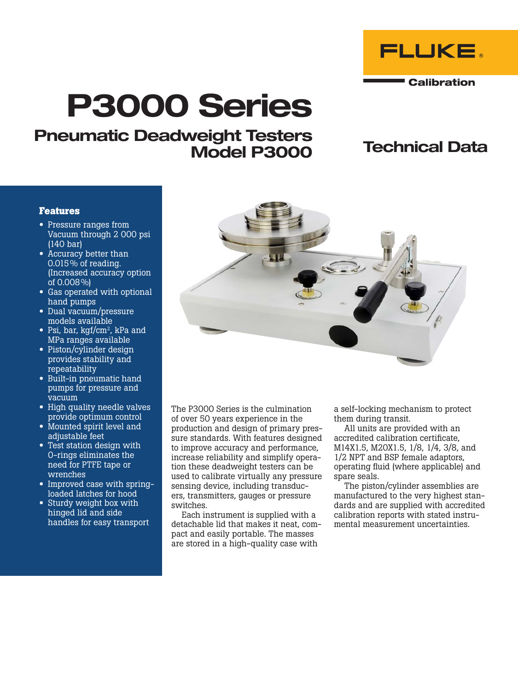

# P3000 Series

# Pneumatic Deadweight Testers Model P3000

# Technical Data

### **Features**

- Pressure ranges from Vacuum through 2 000 psi (140 bar)
- Accuracy better than 0.015% of reading. (Increased accuracy option of 0.008%)
- Gas operated with optional hand pumps
- Dual vacuum/pressure models available
- Psi, bar, kgf/cm<sup>2</sup>, kPa and MPa ranges available
- Piston/cylinder design provides stability and repeatability
- Built-in pneumatic hand pumps for pressure and vacuum
- High quality needle valves provide optimum control
- Mounted spirit level and adjustable feet
- Test station design with O-rings eliminates the need for PTFE tape or wrenches
- Improved case with springloaded latches for hood
- Sturdy weight box with hinged lid and side handles for easy transport



The P3000 Series is the culmination of over 50 years experience in the production and design of primary pressure standards. With features designed to improve accuracy and performance, increase reliability and simplify operation these deadweight testers can be used to calibrate virtually any pressure sensing device, including transducers, transmitters, gauges or pressure switches.

Each instrument is supplied with a detachable lid that makes it neat, compact and easily portable. The masses are stored in a high-quality case with

a self-locking mechanism to protect them during transit.

All units are provided with an accredited calibration certificate, M14X1.5, M20X1.5, 1/8, 1/4, 3/8, and 1/2 NPT and BSP female adaptors, operating fluid (where applicable) and spare seals.

The piston/cylinder assemblies are manufactured to the very highest standards and are supplied with accredited calibration reports with stated instrumental measurement uncertainties.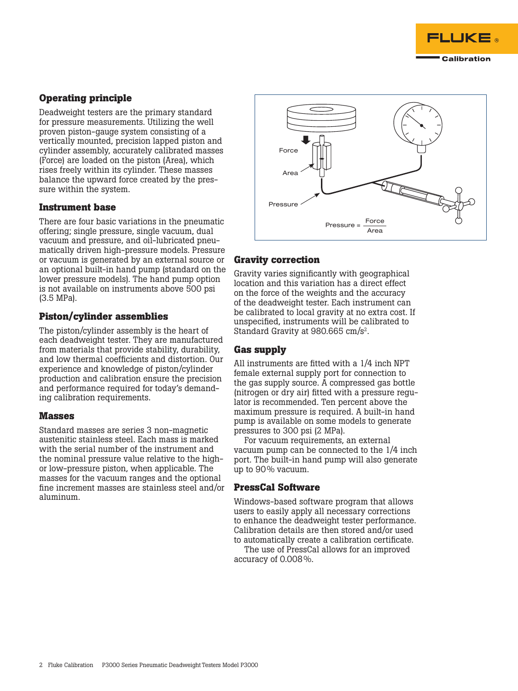

# **Operating principle**

Deadweight testers are the primary standard for pressure measurements. Utilizing the well proven piston-gauge system consisting of a vertically mounted, precision lapped piston and cylinder assembly, accurately calibrated masses (Force) are loaded on the piston (Area), which rises freely within its cylinder. These masses balance the upward force created by the pressure within the system.

### **Instrument base**

There are four basic variations in the pneumatic offering; single pressure, single vacuum, dual vacuum and pressure, and oil-lubricated pneumatically driven high-pressure models. Pressure or vacuum is generated by an external source or an optional built-in hand pump (standard on the lower pressure models). The hand pump option is not available on instruments above 500 psi (3.5 MPa).

# **Piston/cylinder assemblies**

The piston/cylinder assembly is the heart of each deadweight tester. They are manufactured from materials that provide stability, durability, and low thermal coefficients and distortion. Our experience and knowledge of piston/cylinder production and calibration ensure the precision and performance required for today's demanding calibration requirements.

# **Masses**

Standard masses are series 3 non-magnetic austenitic stainless steel. Each mass is marked with the serial number of the instrument and the nominal pressure value relative to the highor low-pressure piston, when applicable. The masses for the vacuum ranges and the optional fine increment masses are stainless steel and/or aluminum.



# **Gravity correction**

Gravity varies significantly with geographical location and this variation has a direct effect on the force of the weights and the accuracy of the deadweight tester. Each instrument can be calibrated to local gravity at no extra cost. If unspecified, instruments will be calibrated to Standard Gravity at 980.665 cm/s<sup>2</sup>.

# **Gas supply**

All instruments are fitted with a 1/4 inch NPT female external supply port for connection to the gas supply source. A compressed gas bottle (nitrogen or dry air) fitted with a pressure regulator is recommended. Ten percent above the maximum pressure is required. A built-in hand pump is available on some models to generate pressures to 300 psi (2 MPa).

For vacuum requirements, an external vacuum pump can be connected to the 1/4 inch port. The built-in hand pump will also generate up to 90% vacuum.

# **PressCal Software**

Windows-based software program that allows users to easily apply all necessary corrections to enhance the deadweight tester performance. Calibration details are then stored and/or used to automatically create a calibration certificate.

The use of PressCal allows for an improved accuracy of 0.008%.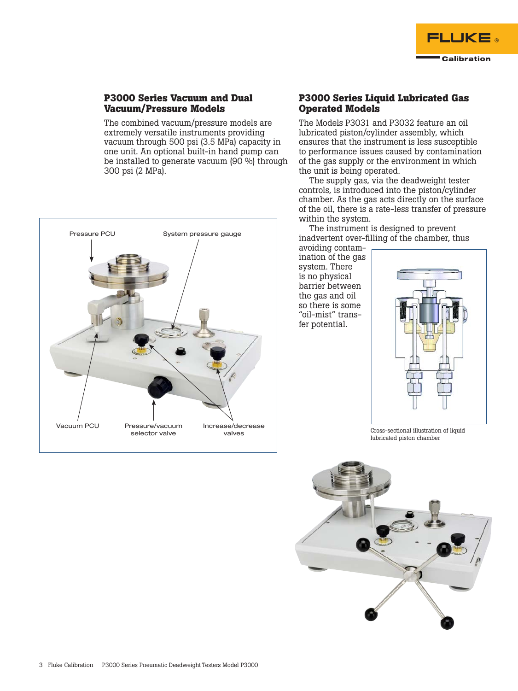

# **P3000 Series Vacuum and Dual Vacuum/Pressure Models**

The combined vacuum/pressure models are extremely versatile instruments providing vacuum through 500 psi (3.5 MPa) capacity in one unit. An optional built-in hand pump can be installed to generate vacuum (90 %) through 300 psi (2 MPa).



# **P3000 Series Liquid Lubricated Gas Operated Models**

The Models P3031 and P3032 feature an oil lubricated piston/cylinder assembly, which ensures that the instrument is less susceptible to performance issues caused by contamination of the gas supply or the environment in which the unit is being operated.

The supply gas, via the deadweight tester controls, is introduced into the piston/cylinder chamber. As the gas acts directly on the surface of the oil, there is a rate-less transfer of pressure within the system.

The instrument is designed to prevent inadvertent over-filling of the chamber, thus

avoiding contamination of the gas system. There is no physical barrier between the gas and oil so there is some "oil-mist" transfer potential.



Cross-sectional illustration of liquid lubricated piston chamber

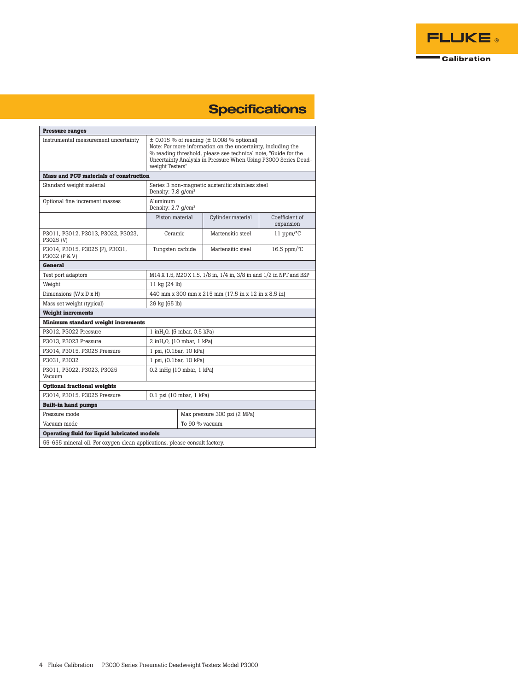

# **Specifications**

| <b>Pressure ranges</b>                                                     |                                                                                                                                                                                                                                                                           |                              |                   |                             |  |
|----------------------------------------------------------------------------|---------------------------------------------------------------------------------------------------------------------------------------------------------------------------------------------------------------------------------------------------------------------------|------------------------------|-------------------|-----------------------------|--|
| Instrumental measurement uncertainty                                       | $\pm$ 0.015 % of reading ( $\pm$ 0.008 % optional)<br>Note: For more information on the uncertainty, including the<br>% reading threshold, please see technical note, "Guide for the<br>Uncertainty Analysis in Pressure When Using P3000 Series Dead-<br>weight Testers" |                              |                   |                             |  |
| <b>Mass and PCU materials of construction</b>                              |                                                                                                                                                                                                                                                                           |                              |                   |                             |  |
| Standard weight material                                                   | Series 3 non-magnetic austenitic stainless steel<br>Density: 7.8 g/cm <sup>3</sup>                                                                                                                                                                                        |                              |                   |                             |  |
| Optional fine increment masses                                             | Aluminum<br>Density: $2.7$ q/cm <sup>3</sup>                                                                                                                                                                                                                              |                              |                   |                             |  |
|                                                                            | Piston material                                                                                                                                                                                                                                                           |                              | Cylinder material | Coefficient of<br>expansion |  |
| P3011, P3012, P3013, P3022, P3023,<br>P3025 (V)                            | Ceramic                                                                                                                                                                                                                                                                   |                              | Martensitic steel | 11 ppm/ $\rm ^{o}C$         |  |
| P3014, P3015, P3025 (P), P3031,<br>P3032 (P & V)                           | Tungsten carbide                                                                                                                                                                                                                                                          |                              | Martensitic steel | $16.5$ ppm/ $\degree$ C     |  |
| <b>General</b>                                                             |                                                                                                                                                                                                                                                                           |                              |                   |                             |  |
| Test port adaptors                                                         | M14 X 1.5, M20 X 1.5, 1/8 in, 1/4 in, 3/8 in and 1/2 in NPT and BSP                                                                                                                                                                                                       |                              |                   |                             |  |
| Weight                                                                     | 11 kg (24 lb)                                                                                                                                                                                                                                                             |                              |                   |                             |  |
| Dimensions (W x D x H)                                                     | 440 mm x 300 mm x 215 mm (17.5 in x 12 in x 8.5 in)                                                                                                                                                                                                                       |                              |                   |                             |  |
| Mass set weight (typical)                                                  | 29 kg (65 lb)                                                                                                                                                                                                                                                             |                              |                   |                             |  |
| <b>Weight increments</b>                                                   |                                                                                                                                                                                                                                                                           |                              |                   |                             |  |
| <b>Minimum standard weight increments</b>                                  |                                                                                                                                                                                                                                                                           |                              |                   |                             |  |
| P3012, P3022 Pressure                                                      | $1$ in $H_2O$ , (5 mbar, 0.5 kPa)                                                                                                                                                                                                                                         |                              |                   |                             |  |
| P3013, P3023 Pressure                                                      | 2 inH <sub>2</sub> O, (10 mbar, 1 kPa)                                                                                                                                                                                                                                    |                              |                   |                             |  |
| P3014, P3015, P3025 Pressure                                               | 1 psi, (0.1bar, 10 kPa)                                                                                                                                                                                                                                                   |                              |                   |                             |  |
| P3031, P3032                                                               | 1 psi, (0.1bar, 10 kPa)                                                                                                                                                                                                                                                   |                              |                   |                             |  |
| P3011, P3022, P3023, P3025<br>Vacuum                                       | $0.2$ in Hg $(10$ mbar, $1$ kPa)                                                                                                                                                                                                                                          |                              |                   |                             |  |
| <b>Optional fractional weights</b>                                         |                                                                                                                                                                                                                                                                           |                              |                   |                             |  |
| P3014, P3015, P3025 Pressure                                               | 0.1 psi (10 mbar, 1 kPa)                                                                                                                                                                                                                                                  |                              |                   |                             |  |
| <b>Built-in hand pumps</b>                                                 |                                                                                                                                                                                                                                                                           |                              |                   |                             |  |
| Pressure mode                                                              |                                                                                                                                                                                                                                                                           | Max pressure 300 psi (2 MPa) |                   |                             |  |
| Vacuum mode                                                                |                                                                                                                                                                                                                                                                           | To 90 % vacuum               |                   |                             |  |
| <b>Operating fluid for liquid lubricated models</b>                        |                                                                                                                                                                                                                                                                           |                              |                   |                             |  |
| 55-655 mineral oil. For oxygen clean applications, please consult factory. |                                                                                                                                                                                                                                                                           |                              |                   |                             |  |